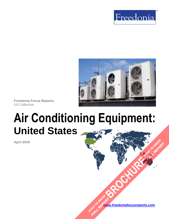



**Freedonia Focus Reports** US Collection

# **Air Conditioning Equipment: United States**

**April 2019**

**[www.freedoniafocusreports.com](https://www.freedoniafocusreports.com/redirect.asp?progid=89534&url=/)** CLICK TO ORDER **FULL REPORT** 

**[BROCHURE](https://www.freedoniafocusreports.com/Air-Conditioning-Equipment-United-States-FF75048/?progid=89541) CLICK TO ORDER** 

**FULL REPORT**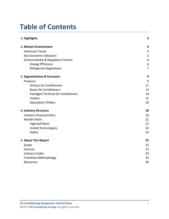# **Table of Contents**

| 1. Highlights                                 | 3              |
|-----------------------------------------------|----------------|
| 2. Market Environment                         | 4              |
| <b>Historical Trends</b>                      | 4              |
| Key Economic Indicators                       | 5              |
| <b>Environmental &amp; Regulatory Factors</b> | 6              |
| <b>Energy Efficiency</b>                      | 6              |
| <b>Refrigerant Regulations</b>                | $\overline{7}$ |
| 3. Segmentation & Forecasts                   | 9              |
| Products                                      | 9              |
| <b>Unitary Air Conditioners</b>               | 11             |
| <b>Room Air Conditioners</b>                  | 13             |
| Packaged Terminal Air Conditioners            | 14             |
| Chillers                                      | 15             |
| <b>Absorption Chillers</b>                    | 16             |
| 4. Industry Structure                         | 18             |
| <b>Industry Characteristics</b>               | 18             |
| <b>Market Share</b>                           | 21             |
| Ingersoll-Rand                                | 21             |
| <b>United Technologies</b>                    | 22             |
| Daikin                                        | 22             |
| 5. About This Report                          | 23             |
| Scope                                         | 23             |
| Sources                                       | 23             |
| <b>Industry Codes</b>                         | 24             |
| Freedonia Methodology                         | 24             |
| Resources                                     | 26             |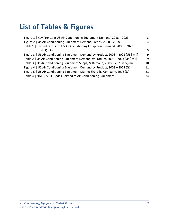# **List of Tables & Figures**

| Figure 1   Key Trends in US Air Conditioning Equipment Demand, 2018 - 2023         | 3  |
|------------------------------------------------------------------------------------|----|
| Figure 2   US Air Conditioning Equipment Demand Trends, 2008 - 2018                | 4  |
| Table 1   Key Indicators for US Air Conditioning Equipment Demand, 2008 - 2023     |    |
| (US <sub>5</sub> bil)                                                              | 5  |
| Figure 3   US Air Conditioning Equipment Demand by Product, 2008 - 2023 (US\$ mil) | 9  |
| Table 2   US Air Conditioning Equipment Demand by Product, 2008 - 2023 (US\$ mil)  | 9  |
| Table 3   US Air Conditioning Equipment Supply & Demand, 2008 - 2023 (US\$ mil)    | 10 |
| Figure 4   US Air Conditioning Equipment Demand by Product, 2008 - 2023 (%)        | 11 |
| Figure 5   US Air Conditioning Equipment Market Share by Company, 2018 (%)         | 21 |
| Table 4   NAICS & SIC Codes Related to Air Conditioning Equipment                  | 24 |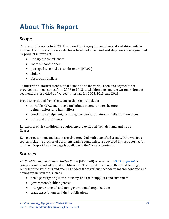# <span id="page-3-0"></span>**About This Report**

### <span id="page-3-1"></span>**Scope**

This report forecasts to 2023 US air conditioning equipment demand and shipments in nominal US dollars at the manufacturer level. Total demand and shipments are segmented by product in terms of:

- unitary air conditioners
- room air conditioners
- packaged terminal air conditioners (PTACs)
- chillers
- absorption chillers

To illustrate historical trends, total demand and the various demand segments are provided in annual series from 2008 to 2018; total shipments and the various shipment segments are provided at five-year intervals for 2008, 2013, and 2018.

Products excluded from the scope of this report include:

- portable HVAC equipment, including air conditioners, heaters, dehumidifiers, and humidifiers
- ventilation equipment, including ductwork, radiators, and distribution pipes
- parts and attachments

Re-exports of air conditioning equipment are excluded from demand and trade figures.

Key macroeconomic indicators are also provided with quantified trends. Other various topics, including profiles of pertinent leading companies, are covered in this report. A full outline of report items by page is available in the Table of Contents.

### <span id="page-3-2"></span>**Sources**

*Air Conditioning Equipment: United States* (FF75048) is based on *[HVAC Equipment,](http://www.freedoniagroup.com/DocumentDetails.aspx?ReferrerId=FL-FOCUS&studyid=3730)* a comprehensive industry study published by The Freedonia Group. Reported findings represent the synthesis and analysis of data from various secondary, macroeconomic, and demographic sources, such as:

- firms participating in the industry, and their suppliers and customers
- government/public agencies
- intergovernmental and non-governmental organizations
- trade associations and their publications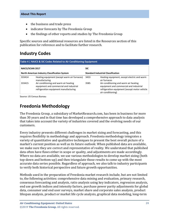- the business and trade press
- indicator forecasts by The Freedonia Group
- the findings of other reports and studies by The Freedonia Group

Specific sources and additional resources are listed in the Resources section of this publication for reference and to facilitate further research.

# <span id="page-4-0"></span>**Industry Codes**

<span id="page-4-2"></span>

| Table 4   NAICS & SIC Codes Related to Air Conditioning Equipment |                                                                                                                           |                                           |                                                                                                                                                        |  |
|-------------------------------------------------------------------|---------------------------------------------------------------------------------------------------------------------------|-------------------------------------------|--------------------------------------------------------------------------------------------------------------------------------------------------------|--|
| <b>NAICS/SCIAN 2017</b>                                           |                                                                                                                           | <b>SIC</b>                                |                                                                                                                                                        |  |
| <b>North American Industry Classification System</b>              |                                                                                                                           | <b>Standard Industrial Classification</b> |                                                                                                                                                        |  |
| 333414                                                            | Heating equipment (except warm air furnaces)<br>manufacturing                                                             | 3433                                      | Heating equipment, except electric and warm<br>air furnaces                                                                                            |  |
| 333415                                                            | Air conditioning and warm air heating<br>equipment and commercial and industrial<br>refrigeration equipment manufacturing | 3585                                      | Air-conditioning and warm air heating<br>equipment and commercial and industrial<br>refrigeration equipment (except motor vehicle<br>air-conditioning) |  |

Source: US Census Bureau

# <span id="page-4-1"></span>**Freedonia Methodology**

The Freedonia Group, a subsidiary of MarketResearch.com, has been in business for more than 30 years and in that time has developed a comprehensive approach to data analysis that takes into account the variety of industries covered and the evolving needs of our customers.

Every industry presents different challenges in market sizing and forecasting, and this requires flexibility in methodology and approach. Freedonia methodology integrates a variety of quantitative and qualitative techniques to present the best overall picture of a market's current position as well as its future outlook: When published data are available, we make sure they are correct and representative of reality. We understand that published data often have flaws either in scope or quality, and adjustments are made accordingly. Where no data are available, we use various methodologies to develop market sizing (both top-down and bottom-up) and then triangulate those results to come up with the most accurate data series possible. Regardless of approach, we also talk to industry participants to verify both historical perspective and future growth opportunities.

Methods used in the preparation of Freedonia market research include, but are not limited to, the following activities: comprehensive data mining and evaluation, primary research, consensus forecasting and analysis, ratio analysis using key indicators, regression analysis, end use growth indices and intensity factors, purchase power parity adjustments for global data, consumer and end user surveys, market share and corporate sales analysis, product lifespan analysis, product or market life cycle analysis, graphical data modeling, long-term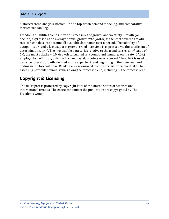historical trend analysis, bottom-up and top-down demand modeling, and comparative market size ranking.

Freedonia quantifies trends in various measures of growth and volatility. Growth (or decline) expressed as an average annual growth rate (AAGR) is the least squares growth rate, which takes into account all available datapoints over a period. The volatility of datapoints around a least squares growth trend over time is expressed via the coefficient of determination, or  $r^2$ . The most stable data series relative to the trend carries an  $r^2$  value of 1.0; the most volatile – 0.0. Growth calculated as a compound annual growth rate (CAGR) employs, by definition, only the first and last datapoints over a period. The CAGR is used to describe forecast growth, defined as the expected trend beginning in the base year and ending in the forecast year. Readers are encouraged to consider historical volatility when assessing particular annual values along the forecast trend, including in the forecast year.

### **Copyright & Licensing**

The full report is protected by copyright laws of the United States of America and international treaties. The entire contents of the publication are copyrighted by The Freedonia Group.